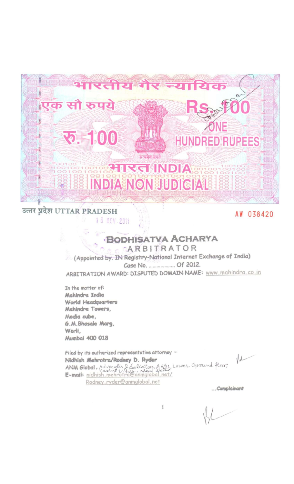

उत्तर प्रदेश UTTAR PRADESH 18 NOV 2011

AW 038420

# **BODHISATVA ACHARYA**

CARBITRATOR (Appointed by, IN Registry-National Internet Exchange of India) Case No. ..................... Of 2012.

ARBITRATION AWARD: DISPUTED DOMAIN NAME: www.mahindra.co.in

In the matter of: Mahindra India World Headquarters Mahindra Towers, Media cube, G.M.Bhosale Marg. Worli, Mumbai 400 018

Filed by its outhorized representative attorney -Nidhish Mehrotra/Rodney D. Ryder ANM Global, Advocates & Solicitors, A 6/21, Lower Ground floor, Rodney.ryder@anmglobal.net

 $M$ 

...Complainant

1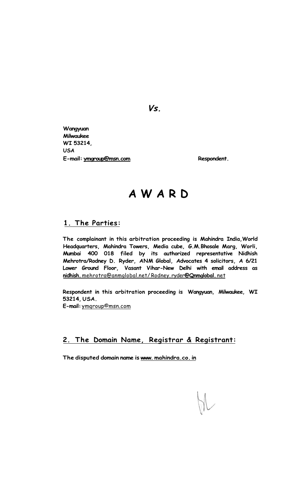*Vs.* 

**Wangyuan Milwaukee WI 53214, USA**  E-mail: <u>ymgroup@msn.com</u><br>
Respondent.

# **AWAR D**

#### **1. The Parties:**

**The complainant in this arbitration proceeding is Mahindra India,World Headquarters, Mahindra Towers, Media cube, G.M.Bhosale Marg, Worli, Mumbai 400 018 filed by its authorized representative Nidhish Mehrotra/Rodney D. Ryder, ANM Global, Advocates 4 solicitors, A 6/21 Lower Ground Floor, Vasant Vihar-New Delhi with email address as nidhish.** mehrotra@anmglobal.net/ Rodney. ryder**@Qnmglobal.** net

**Respondent in this arbitration proceeding is Wangyuan, Milwaukee, WI 53214, USA.** 

**E-mail:** ymqroup©msn.com

### **2. The Domain Name, Registrar & Registrant:**

**The disputed domain name is www. mahindra.co. in**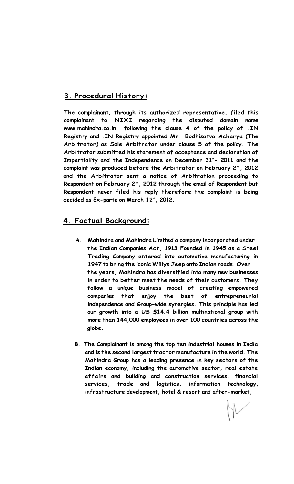## **3. Procedural History:**

**The complainant, through its authorized representative, filed this complainant to NIXI regarding the disputed domain name [www.mahindra.co.in](http://www.mahindra.co.in) following the clause 4 of the policy of .IN Registry and .IN Registry appointed Mr. Bodhisatva Acharya (The Arbitrator) as Sole Arbitrator under clause 5 of the policy. The Arbitrator submitted his statement of acceptance and declaration of**  Impartiality and the Independence on December 31"- 2011 and the complaint was produced before the Arbitrator on February 2<sup>nd</sup>, 2012 **and the Arbitrator sent a notice of Arbitration proceeding to**  Respondent on February 2<sup>nd</sup>, 2012 through the email of Respondent but **Respondent never filed his reply therefore the complaint is being decided as Ex-parte on March 12th , 2012.** 

### **4. Factual Background:**

- **A. Mahindra and Mahindra Limited a company incorporated under the Indian Companies Act, 1913 Founded in 1945 as a Steel Trading Company entered into automotive manufacturing in 1947 to bring the iconic Willys Jeep onto Indian roads. Over the years, Mahindra has diversified into many new businesses in order to better meet the needs of their customers. They follow a unique business model of creating empowered companies that enjoy the best of entrepreneurial independence and Group-wide synergies. This principle has led our growth into a US \$14.4 billion multinational group with more than 144,000 employees in over 100 countries across the globe.**
- **B. The Complainant is among the top ten industrial houses in India and is the second largest tractor manufacture in the world. The Mahindra Group has a leading presence in key sectors of the Indian economy, including the automotive sector, real estate affairs and building and construction services, financial services, trade and logistics, information technology, infrastructure development, hotel & resort and after-market,**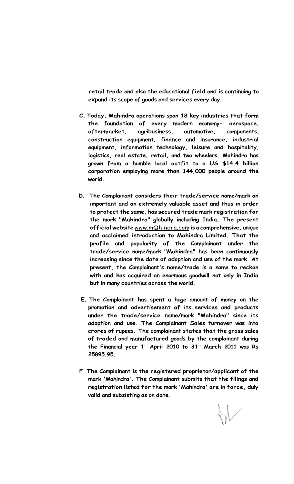**retail trade and also the educational field and is continuing to expand its scope of goods and services every day.** 

- **C. Today, Mahindra operations span 18 key industries that form the foundation of every modern economy- aerospace, aftermarket, agribusiness, automotive, components, construction equipment, finance and insurance, industrial equipment, information technology, leisure and hospitality, logistics, real estate, retail, and two wheelers. Mahindra has grown from a humble local outfit to a US \$14.4 billion corporation employing more than 144,000 people around the world.**
- **D. The Complainant considers their trade/service name/mark an important and an extremely valuable asset and thus in order to protect the same, has secured trade mark registration for the mark "Mahindra" globally including India. The present official website** [www.mQhindra.com](http://www.mQhindra.com) **is a comprehensive, unique and acclaimed introduction to Mahindra Limited. That the profile and popularity of the Complainant under the trade/service name/mark "Mahindra" has been continuously increasing since the date of adoption and use of the mark. At present, the Complainant's name/trade is a name to reckon with and has acquired an enormous goodwill not only in India but in many countries across the world.**
- **E. The Complainant has spent a huge amount of money on the promotion and advertisement of its services and products under the trade/service name/mark "Mahindra" since its adoption and use. The Complainant Sales turnover was into crores of rupees. The complainant states that the gross sales of traded and manufactured goods by the complainant during the Financial year 1<sup>s</sup> <sup>t</sup> April 2010 to 31<sup>s</sup> <sup>t</sup> March 2011 was Rs 25895.95.**
- **F. The Complainant is the registered proprietor/applicant of the mark 'Mahindra'. The Complainant submits that the filings and registration listed for the mark 'Mahindra' are in force, duly valid and subsisting as on date.**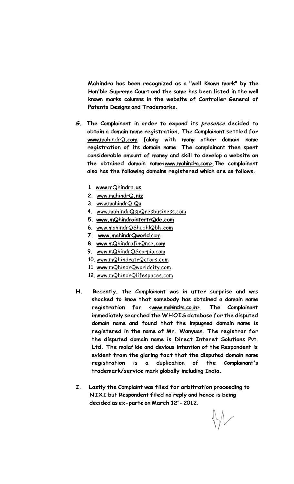**Mahindra has been recognized as a "well Known mark" by the Hon'ble Supreme Court and the same has been listed in the well known marks columns in the website of Controller General of Patents Designs and Trademarks.** 

- *G.* **The Complainant in order to expand its** *presence* **decided to obtain a domain name registration. The Complainant settled for www**[.mahindrQ](http://www.mahindrQ.com)**.com [along with many other domain name registration of its domain name. The complainant then spent considerable amount of money and skill to develop a website on the obtained domain name[<www.mahindra.com>.](http://www.mahindra.com)The complainant also has the following domains registered which are as follows.** 
	- **1. www**[.mQhindra](http://www.mQhindra.us)**.us**
	- **2.** [www.mahindrQ](http://www.mahindrQ.niz)**.niz**
	- **3.** [www.mahindrQ](http://www.mahindrQ.Qu)**.Qu**
	- **4.** [www.mahindrQspQresbusiness.com](http://www.mahindrQspQresbusiness.com)
	- **5. [www.mQhindraintertrQde.com](http://www.mQhindraintertrQde.com)**
	- **6.** [www.mahindrQShubhlQbh](http://www.mahindrQShubhlQbh.com)**.com**
	- **7. [www.mahindrQworld](http://www.mahindrQworld.com)**.com
	- **8. www**[.mQhindrafinQnce](http://www.mQhindrafinQnce.com)**.com**
	- **9.** [www.mQhindrQScorpio.com](http://www.mQhindrQScorpio.com)
	- **10.** [www.mQhindratrQctors.com](http://www.mQhindratrQctors.com)
	- **11. www**[.mQhindrQworldcity.com](http://www.mQhindrQworldcity.com)
	- **12.** [www.mQhindrQlifespaces.com](http://www.mQhindrQlifespaces.com)
- **H. Recently, the Complainant was in utter surprise and was shocked to know that somebody has obtained a domain name registration for [<www.mahindra.co.in>.](http://www.mahindra.co.in) The Complainant immediately searched the WHOIS database for the disputed domain name and found that the impugned domain name is registered in the name of Mr. Wanyuan. The registrar for the disputed domain name is Direct Interet Solutions Pvt. Ltd. The malaf ide and devious intention of the Respondent is evident from the glaring fact that the disputed domain name registration is a duplication of the Complainant's trademark/service mark globally including India.**
- **I. Lastly the Complaint was filed for arbitration proceeding to NIXI but Respondent filed no reply and hence is being decided as ex-parte on March 12th - 2012.**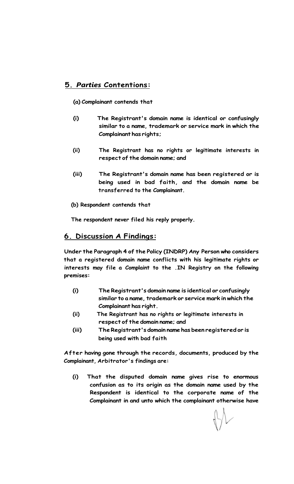# **5.** *Parties* **Contentions:**

#### **(a) Complainant contends that**

- **(i) The Registrant's domain name is identical or confusingly similar to a name, trademark or service mark in which the Complainant has rights;**
- **(ii) The Registrant has no rights or legitimate interests in respect of the domain name; and**
- **(iii) The Registrant's domain name has been registered or is being used in bad faith, and the domain name be transferred to the Complainant.**
- **(b) Respondent contends that**

**The respondent never filed his reply properly.** 

### **6. Discussion A Findings:**

**Under the Paragraph 4 of the Policy (INDRP) Any Person who considers that a registered domain name conflicts with his legitimate rights or interests may file a Complaint to the .IN Registry on the following premises:** 

- **(i) The Registrant's domain name is identical or confusingly similar to a name, trademark or service mark in which the Complainant has right.**
- **(ii) The Registrant has no rights or legitimate interests in respect of the domain name; and**
- **(iii) The Registrant's domain name has been registered or is being used with bad faith**

**After having gone through the records, documents, produced by the Complainant, Arbitrator's findings are:** 

**(i) That the disputed domain name gives rise to enormous confusion as to its origin as the domain name used by the Respondent is identical to the corporate name of the Complainant in and unto which the complainant otherwise have**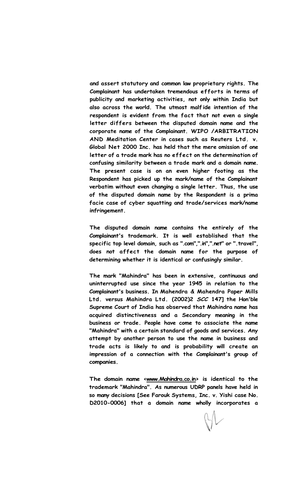**and assert statutory and common law proprietary rights. The Complainant has undertaken tremendous efforts in terms of publicity and marketing activities, not only within India but also across the world. The utmost malf ide intention of the respondent is evident from the fact that not even a single letter differs between the disputed domain name and the corporate name of the Complainant. WIPO /ARBITRATION AND Meditation Center in cases such as Reuters Ltd. v. Global Net 2000 Inc. has held that the mere omission of one letter of a trade mark has no effect on the determination of confusing similarity between a trade mark and a domain name. The present case is on an even higher footing as the Respondent has picked up the mark/name of the Complainant verbatim without even changing a single letter. Thus, the use of the disputed domain name by the Respondent is a prima facie case of cyber squatting and trade/services mark/name infringement.** 

**The disputed domain name contains the entirely of the Complainant's trademark. It is well established that the specific top level domain, such as ".com",".in",".net" or ".travel", does not affect the domain name for the purpose of determining whether it is identical or confusingly similar.** 

**The mark "Mahindra" has been in extensive, continuous and uninterrupted use since the year 1945 in relation to the Complainant's business. In Mahendra & Mahendra Paper Mills Ltd. versus Mahindra Ltd. (2002)2** *SCC* **147] the Hon'ble Supreme Court of India has observed that Mahindra name has acquired distinctiveness and a Secondary meaning in the business or trade. People have come to associate the name "Mahindra" with a certain standard of goods and services. Any attempt by another person to use the name in business and trade acts is likely to and is probability will create an impression of a connection with the Complainant's group of companies.** 

**The domain name [<www.Mahindra.co.in>](http://www.Mahindra.co.in) is identical to the trademark "Mahindra". As numerous UDRP panels have held in so many decisions [See Farouk Systems, Inc. v. Yishi case No. D2010-0006] that a domain name wholly incorporates a**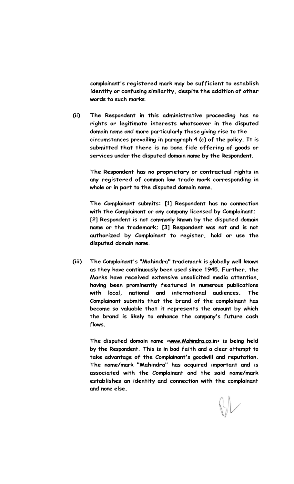**complainant's registered mark may be sufficient to establish identity or confusing similarity, despite the addition of other words to such marks.** 

**(ii) The Respondent in this administrative proceeding has no rights or legitimate interests whatsoever in the disputed domain name and more particularly those giving rise to the circumstances prevailing in paragraph 4 (c) of the policy. It is submitted that there is no bona fide offering of goods or services under the disputed domain name by the Respondent.** 

**The Respondent has no proprietary or contractual rights in any registered of common law trade mark corresponding in whole or in part to the disputed domain name.** 

**The Complainant submits: [1] Respondent has no connection with the Complainant or any company licensed by Complainant; [2] Respondent is not commonly known by the disputed domain name or the trademark; [3] Respondent was not and is not authorized by Complainant to register, hold or use the disputed domain name.** 

**(iii) The Complainant's "Mahindra" trademark is globally well known as they have continuously been used since 1945. Further, the Marks have received extensive unsolicited media attention, having been prominently featured in numerous publications with local, national and international audiences. The Complainant submits that the brand of the complainant has become so valuable that it represents the amount by which the brand is likely to enhance the company's future cash flows.** 

The disputed domain name [<www.Mahindra.co.i](http://www.Mahindra.co)n> is being held **by the Respondent. This is in bad faith and a clear attempt to take advantage of the Complainant's goodwill and reputation. The name/mark "Mahindra" has acquired important and is associated with the Complainant and the said name/mark establishes an identity and connection with the complainant and none else.**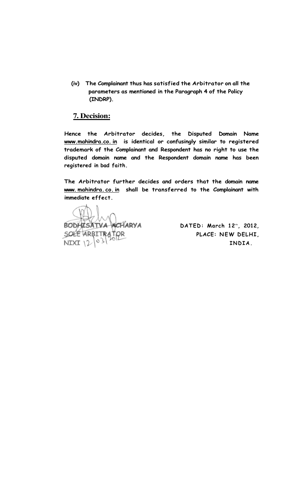**(iv) The Complainant thus has satisfied the Arbitrator on all the parameters as mentioned in the Paragraph 4 of the Policy (INDRP).** 

#### **7. Decision:**

**Hence the Arbitrator decides, the Disputed Domain Name [www.mahindra.co.](http://www.mahindra.co) in is identical or confusingly similar to registered trademark of the Complainant and Respondent has no right to use the disputed domain name and the Respondent domain name has been registered in bad faith.** 

**The Arbitrator further decides and orders that the domain name www. mahindra. co. in shall be transferred to the Complainant with immediate effect.** 

ACHARYA **BODHISATVA NIXI** 

**DATED: March 12t h , 2012, PLACE: NEW DELHI, INDIA .**